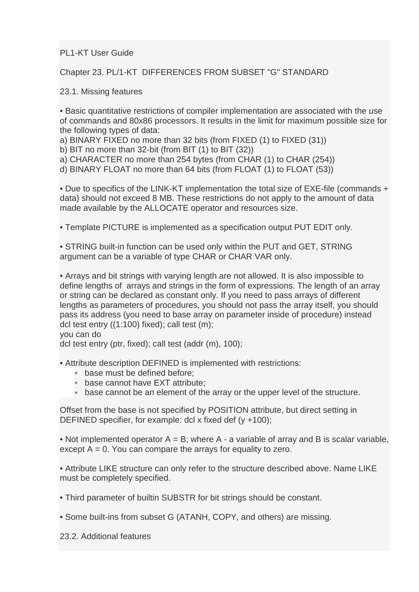## PL1-KT User Guide

Chapter 23. PL/1-KT DIFFERENCES FROM SUBSET "G" STANDARD

23.1. Missing features

• Basic quantitative restrictions of compiler implementation are associated with the use of commands and 80x86 processors. It results in the limit for maximum possible size for the following types of data:

a) BINARY FIXED no more than 32 bits (from FIXED (1) to FIXED (31))

b) BIT no more than 32-bit (from BIT (1) to BIT (32))

a) CHARACTER no more than 254 bytes (from CHAR (1) to CHAR (254))

d) BINARY FLOAT no more than 64 bits (from FLOAT (1) to FLOAT (53))

• Due to specifics of the LINK-KT implementation the total size of EXE-file (commands + data) should not exceed 8 MB. These restrictions do not apply to the amount of data made available by the ALLOCATE operator and resources size.

• Template PICTURE is implemented as a specification output PUT EDIT only.

• STRING built-in function can be used only within the PUT and GET, STRING argument can be a variable of type CHAR or CHAR VAR only.

• Arrays and bit strings with varying length are not allowed. It is also impossible to define lengths of arrays and strings in the form of expressions. The length of an array or string can be declared as constant only. If you need to pass arrays of different lengths as parameters of procedures, you should not pass the array itself, you should pass its address (you need to base array on parameter inside of procedure) instead dcl test entry ((1:100) fixed); call test (m);

you can do

dcl test entry (ptr, fixed); call test (addr (m), 100);

• Attribute description DEFINED is implemented with restrictions:

- base must be defined before:
- base cannot have EXT attribute:
- base cannot be an element of the array or the upper level of the structure.

Offset from the base is not specified by POSITION attribute, but direct setting in DEFINED specifier, for example: dcl x fixed def (y +100);

• Not implemented operator  $A = B$ ; where A - a variable of array and B is scalar variable, except  $A = 0$ . You can compare the arrays for equality to zero.

• Attribute LIKE structure can only refer to the structure described above. Name LIKE must be completely specified.

• Third parameter of builtin SUBSTR for bit strings should be constant.

• Some built-ins from subset G (ATANH, COPY, and others) are missing.

23.2. Additional features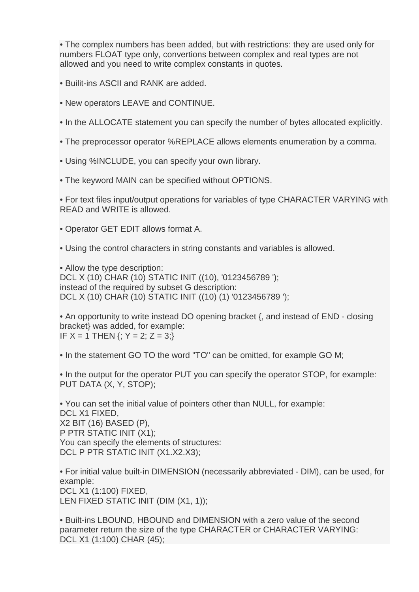• The complex numbers has been added, but with restrictions: they are used only for numbers FLOAT type only, convertions between complex and real types are not allowed and you need to write complex constants in quotes.

• Builit-ins ASCII and RANK are added.

• New operators LEAVE and CONTINUE.

• In the ALLOCATE statement you can specify the number of bytes allocated explicitly.

• The preprocessor operator %REPLACE allows elements enumeration by a comma.

• Using %INCLUDE, you can specify your own library.

• The keyword MAIN can be specified without OPTIONS.

• For text files input/output operations for variables of type CHARACTER VARYING with READ and WRITE is allowed.

- Operator GET EDIT allows format A.
- Using the control characters in string constants and variables is allowed.

• Allow the type description: DCL X (10) CHAR (10) STATIC INIT ((10), '0123456789 '); instead of the required by subset G description: DCL X (10) CHAR (10) STATIC INIT ((10) (1) '0123456789 ');

• An opportunity to write instead DO opening bracket {, and instead of END - closing bracket} was added, for example: IF  $X = 1$  THEN  $\{Y = 2, Z = 3\}$ 

• In the statement GO TO the word "TO" can be omitted, for example GO M;

• In the output for the operator PUT you can specify the operator STOP, for example: PUT DATA (X, Y, STOP);

• You can set the initial value of pointers other than NULL, for example: DCL X1 FIXED, X2 BIT (16) BASED (P), P PTR STATIC INIT (X1); You can specify the elements of structures: DCL P PTR STATIC INIT (X1.X2.X3);

• For initial value built-in DIMENSION (necessarily abbreviated - DIM), can be used, for example: DCL X1 (1:100) FIXED, LEN FIXED STATIC INIT (DIM (X1, 1));

• Built-ins LBOUND, HBOUND and DIMENSION with a zero value of the second parameter return the size of the type CHARACTER or CHARACTER VARYING: DCL X1 (1:100) CHAR (45);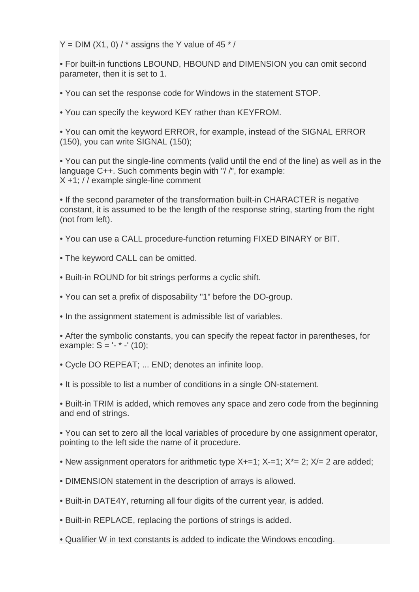$Y = DIM (X1, 0)$  /  $*$  assigns the Y value of 45  $*$  /

• For built-in functions LBOUND, HBOUND and DIMENSION you can omit second parameter, then it is set to 1.

• You can set the response code for Windows in the statement STOP.

• You can specify the keyword KEY rather than KEYFROM.

• You can omit the keyword ERROR, for example, instead of the SIGNAL ERROR (150), you can write SIGNAL (150);

• You can put the single-line comments (valid until the end of the line) as well as in the language C++. Such comments begin with "/ /", for example: X +1; / / example single-line comment

• If the second parameter of the transformation built-in CHARACTER is negative constant, it is assumed to be the length of the response string, starting from the right (not from left).

• You can use a CALL procedure-function returning FIXED BINARY or BIT.

- The keyword CALL can be omitted.
- Built-in ROUND for bit strings performs a cyclic shift.
- You can set a prefix of disposability "1" before the DO-group.
- In the assignment statement is admissible list of variables.

• After the symbolic constants, you can specify the repeat factor in parentheses, for example:  $S = - \cdot \cdot \cdot (10)$ ;

- Cycle DO REPEAT; ... END; denotes an infinite loop.
- It is possible to list a number of conditions in a single ON-statement.

• Built-in TRIM is added, which removes any space and zero code from the beginning and end of strings.

• You can set to zero all the local variables of procedure by one assignment operator, pointing to the left side the name of it procedure.

• New assignment operators for arithmetic type  $X+-1$ ;  $X=-1$ ;  $X^*=2$ ;  $X/=2$  are added;

- DIMENSION statement in the description of arrays is allowed.
- Built-in DATE4Y, returning all four digits of the current year, is added.
- Built-in REPLACE, replacing the portions of strings is added.
- Qualifier W in text constants is added to indicate the Windows encoding.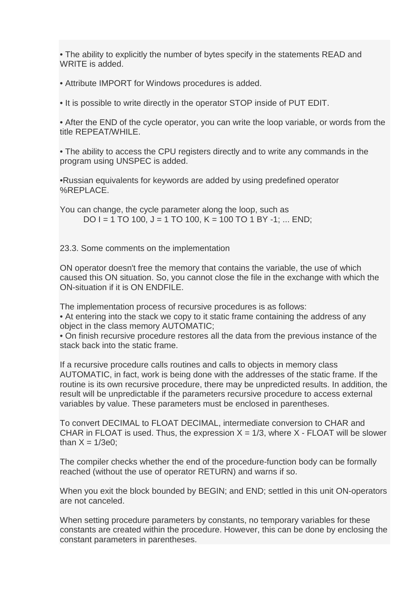• The ability to explicitly the number of bytes specify in the statements READ and WRITE is added.

• Attribute IMPORT for Windows procedures is added.

• It is possible to write directly in the operator STOP inside of PUT EDIT.

• After the END of the cycle operator, you can write the loop variable, or words from the title REPEAT/WHILE.

• The ability to access the CPU registers directly and to write any commands in the program using UNSPEC is added.

•Russian equivalents for keywords are added by using predefined operator %REPLACE.

You can change, the cycle parameter along the loop, such as  $DO I = 1 TO 100, J = 1 TO 100, K = 100 TO 1 BY -1; ... END;$ 

23.3. Some comments on the implementation

ON operator doesn't free the memory that contains the variable, the use of which caused this ON situation. So, you cannot close the file in the exchange with which the ON-situation if it is ON ENDFILE.

The implementation process of recursive procedures is as follows:

• At entering into the stack we copy to it static frame containing the address of any object in the class memory AUTOMATIC;

• On finish recursive procedure restores all the data from the previous instance of the stack back into the static frame.

If a recursive procedure calls routines and calls to objects in memory class AUTOMATIC, in fact, work is being done with the addresses of the static frame. If the routine is its own recursive procedure, there may be unpredicted results. In addition, the result will be unpredictable if the parameters recursive procedure to access external variables by value. These parameters must be enclosed in parentheses.

To convert DECIMAL to FLOAT DECIMAL, intermediate conversion to CHAR and CHAR in FLOAT is used. Thus, the expression  $X = 1/3$ , where X - FLOAT will be slower than  $X = 1/3e0$ :

The compiler checks whether the end of the procedure-function body can be formally reached (without the use of operator RETURN) and warns if so.

When you exit the block bounded by BEGIN; and END; settled in this unit ON-operators are not canceled.

When setting procedure parameters by constants, no temporary variables for these constants are created within the procedure. However, this can be done by enclosing the constant parameters in parentheses.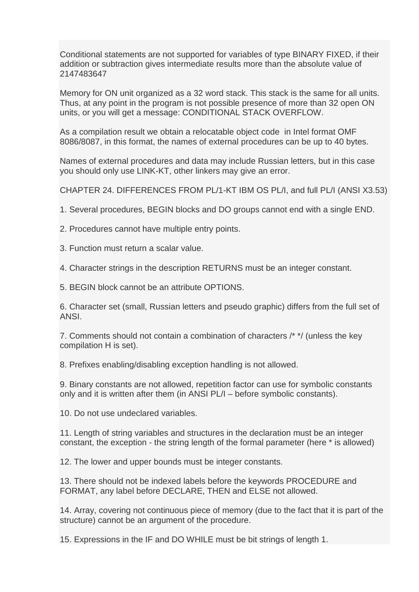Conditional statements are not supported for variables of type BINARY FIXED, if their addition or subtraction gives intermediate results more than the absolute value of 2147483647

Memory for ON unit organized as a 32 word stack. This stack is the same for all units. Thus, at any point in the program is not possible presence of more than 32 open ON units, or you will get a message: CONDITIONAL STACK OVERFLOW.

As a compilation result we obtain a relocatable object code in Intel format OMF 8086/8087, in this format, the names of external procedures can be up to 40 bytes.

Names of external procedures and data may include Russian letters, but in this case you should only use LINK-KT, other linkers may give an error.

CHAPTER 24. DIFFERENCES FROM PL/1-KT IBM OS PL/I, and full PL/I (ANSI X3.53)

1. Several procedures, BEGIN blocks and DO groups cannot end with a single END.

- 2. Procedures cannot have multiple entry points.
- 3. Function must return a scalar value.

4. Character strings in the description RETURNS must be an integer constant.

5. BEGIN block cannot be an attribute OPTIONS.

6. Character set (small, Russian letters and pseudo graphic) differs from the full set of ANSI.

7. Comments should not contain a combination of characters /\* \*/ (unless the key compilation H is set).

8. Prefixes enabling/disabling exception handling is not allowed.

9. Binary constants are not allowed, repetition factor can use for symbolic constants only and it is written after them (in ANSI PL/I – before symbolic constants).

10. Do not use undeclared variables.

11. Length of string variables and structures in the declaration must be an integer constant, the exception - the string length of the formal parameter (here \* is allowed)

12. The lower and upper bounds must be integer constants.

13. There should not be indexed labels before the keywords PROCEDURE and FORMAT, any label before DECLARE, THEN and ELSE not allowed.

14. Array, covering not continuous piece of memory (due to the fact that it is part of the structure) cannot be an argument of the procedure.

15. Expressions in the IF and DO WHILE must be bit strings of length 1.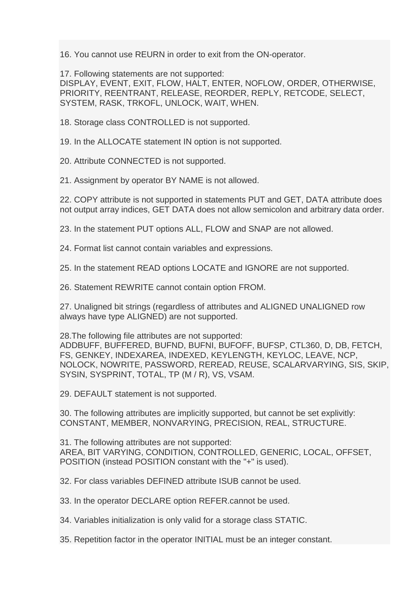16. You cannot use REURN in order to exit from the ON-operator.

17. Following statements are not supported:

DISPLAY, EVENT, EXIT, FLOW, HALT, ENTER, NOFLOW, ORDER, OTHERWISE, PRIORITY, REENTRANT, RELEASE, REORDER, REPLY, RETCODE, SELECT, SYSTEM, RASK, TRKOFL, UNLOCK, WAIT, WHEN.

18. Storage class CONTROLLED is not supported.

19. In the ALLOCATE statement IN option is not supported.

20. Attribute CONNECTED is not supported.

21. Assignment by operator BY NAME is not allowed.

22. COPY attribute is not supported in statements PUT and GET, DATA attribute does not output array indices, GET DATA does not allow semicolon and arbitrary data order.

23. In the statement PUT options ALL, FLOW and SNAP are not allowed.

24. Format list cannot contain variables and expressions.

25. In the statement READ options LOCATE and IGNORE are not supported.

26. Statement REWRITE cannot contain option FROM.

27. Unaligned bit strings (regardless of attributes and ALIGNED UNALIGNED row always have type ALIGNED) are not supported.

28.The following file attributes are not supported:

ADDBUFF, BUFFERED, BUFND, BUFNI, BUFOFF, BUFSP, CTL360, D, DB, FETCH, FS, GENKEY, INDEXAREA, INDEXED, KEYLENGTH, KEYLOC, LEAVE, NCP, NOLOCK, NOWRITE, PASSWORD, REREAD, REUSE, SCALARVARYING, SIS, SKIP, SYSIN, SYSPRINT, TOTAL, TP (M / R), VS, VSAM.

29. DEFAULT statement is not supported.

30. The following attributes are implicitly supported, but cannot be set explivitly: CONSTANT, MEMBER, NONVARYING, PRECISION, REAL, STRUCTURE.

31. The following attributes are not supported: AREA, BIT VARYING, CONDITION, CONTROLLED, GENERIC, LOCAL, OFFSET, POSITION (instead POSITION constant with the "+" is used).

32. For class variables DEFINED attribute ISUB cannot be used.

33. In the operator DECLARE option REFER.cannot be used.

34. Variables initialization is only valid for a storage class STATIC.

35. Repetition factor in the operator INITIAL must be an integer constant.